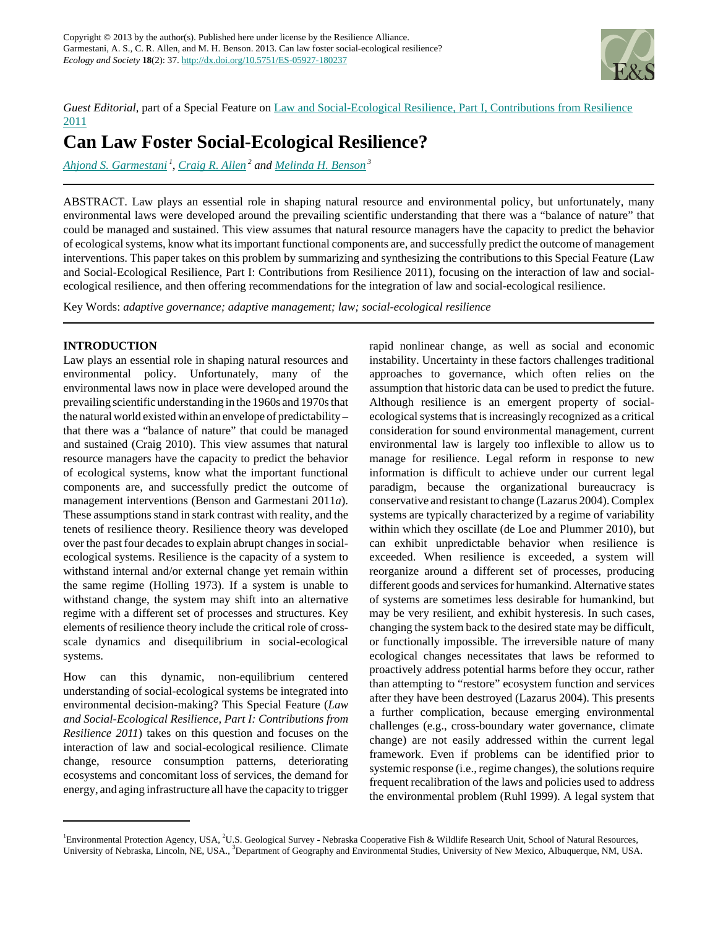

*Guest Editorial*, part of a Special Feature on [Law and Social-Ecological Resilience, Part I, Contributions from Resilience](http://www.ecologyandsociety.org/viewissue.php?sf=78) [2011](http://www.ecologyandsociety.org/viewissue.php?sf=78)

# **Can Law Foster Social-Ecological Resilience?**

*[Ahjond S. Garmestani](mailto:garmestani.ahjond@epa.gov)<sup>1</sup>* , *[Craig R. Allen](mailto:allencr@unl.edu)<sup>2</sup> and [Melinda H. Benson](mailto:mhbenson@unm.edu)<sup>3</sup>*

ABSTRACT. Law plays an essential role in shaping natural resource and environmental policy, but unfortunately, many environmental laws were developed around the prevailing scientific understanding that there was a "balance of nature" that could be managed and sustained. This view assumes that natural resource managers have the capacity to predict the behavior of ecological systems, know what its important functional components are, and successfully predict the outcome of management interventions. This paper takes on this problem by summarizing and synthesizing the contributions to this Special Feature (Law and Social-Ecological Resilience, Part I: Contributions from Resilience 2011), focusing on the interaction of law and socialecological resilience, and then offering recommendations for the integration of law and social-ecological resilience.

Key Words: *adaptive governance; adaptive management; law; social-ecological resilience*

## **INTRODUCTION**

Law plays an essential role in shaping natural resources and environmental policy. Unfortunately, many of the environmental laws now in place were developed around the prevailing scientific understanding in the 1960s and 1970s that the natural world existed within an envelope of predictability – that there was a "balance of nature" that could be managed and sustained (Craig 2010). This view assumes that natural resource managers have the capacity to predict the behavior of ecological systems, know what the important functional components are, and successfully predict the outcome of management interventions (Benson and Garmestani 2011*a*). These assumptions stand in stark contrast with reality, and the tenets of resilience theory. Resilience theory was developed over the past four decades to explain abrupt changes in socialecological systems. Resilience is the capacity of a system to withstand internal and/or external change yet remain within the same regime (Holling 1973). If a system is unable to withstand change, the system may shift into an alternative regime with a different set of processes and structures. Key elements of resilience theory include the critical role of crossscale dynamics and disequilibrium in social-ecological systems.

How can this dynamic, non-equilibrium centered understanding of social-ecological systems be integrated into environmental decision-making? This Special Feature (*Law and Social-Ecological Resilience, Part I: Contributions from Resilience 2011*) takes on this question and focuses on the interaction of law and social-ecological resilience. Climate change, resource consumption patterns, deteriorating ecosystems and concomitant loss of services, the demand for energy, and aging infrastructure all have the capacity to trigger rapid nonlinear change, as well as social and economic instability. Uncertainty in these factors challenges traditional approaches to governance, which often relies on the assumption that historic data can be used to predict the future. Although resilience is an emergent property of socialecological systems that is increasingly recognized as a critical consideration for sound environmental management, current environmental law is largely too inflexible to allow us to manage for resilience. Legal reform in response to new information is difficult to achieve under our current legal paradigm, because the organizational bureaucracy is conservative and resistant to change (Lazarus 2004). Complex systems are typically characterized by a regime of variability within which they oscillate (de Loe and Plummer 2010), but can exhibit unpredictable behavior when resilience is exceeded. When resilience is exceeded, a system will reorganize around a different set of processes, producing different goods and services for humankind. Alternative states of systems are sometimes less desirable for humankind, but may be very resilient, and exhibit hysteresis. In such cases, changing the system back to the desired state may be difficult, or functionally impossible. The irreversible nature of many ecological changes necessitates that laws be reformed to proactively address potential harms before they occur, rather than attempting to "restore" ecosystem function and services after they have been destroyed (Lazarus 2004). This presents a further complication, because emerging environmental challenges (e.g., cross-boundary water governance, climate change) are not easily addressed within the current legal framework. Even if problems can be identified prior to systemic response (i.e., regime changes), the solutions require frequent recalibration of the laws and policies used to address the environmental problem (Ruhl 1999). A legal system that

<sup>&</sup>lt;sup>1</sup> Environmental Protection Agency, USA, <sup>2</sup>U.S. Geological Survey - Nebraska Cooperative Fish & Wildlife Research Unit, School of Natural Resources, University of Nebraska, Lincoln, NE, USA., <sup>3</sup>Department of Geography and Environmental Studies, University of New Mexico, Albuquerque, NM, USA.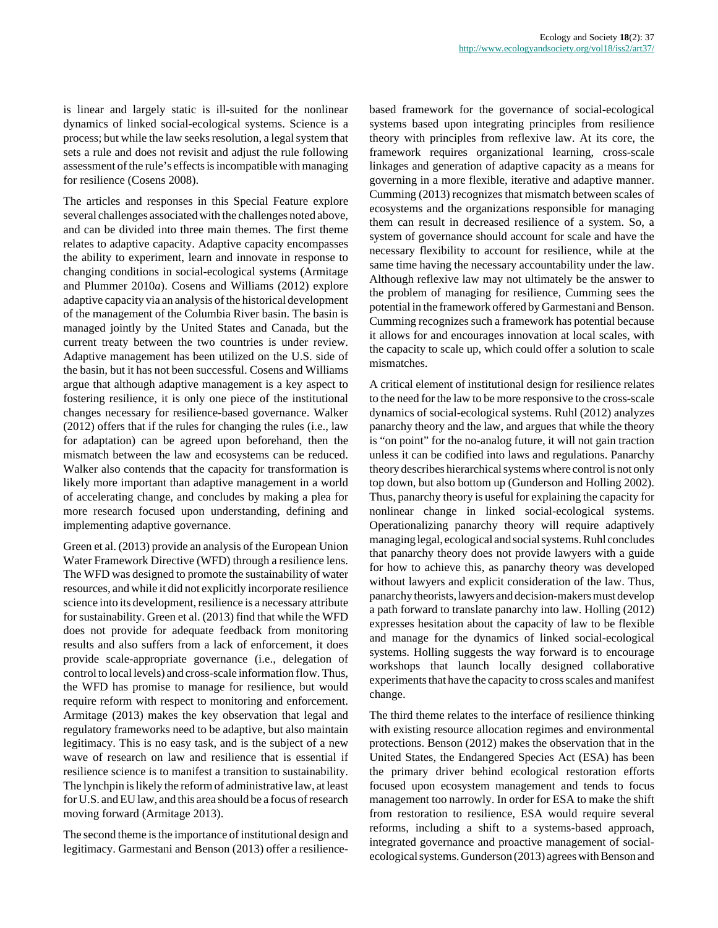is linear and largely static is ill-suited for the nonlinear dynamics of linked social-ecological systems. Science is a process; but while the law seeks resolution, a legal system that sets a rule and does not revisit and adjust the rule following assessment of the rule's effects is incompatible with managing for resilience (Cosens 2008).

The articles and responses in this Special Feature explore several challenges associated with the challenges noted above, and can be divided into three main themes. The first theme relates to adaptive capacity. Adaptive capacity encompasses the ability to experiment, learn and innovate in response to changing conditions in social-ecological systems (Armitage and Plummer 2010*a*). Cosens and Williams (2012) explore adaptive capacity via an analysis of the historical development of the management of the Columbia River basin. The basin is managed jointly by the United States and Canada, but the current treaty between the two countries is under review. Adaptive management has been utilized on the U.S. side of the basin, but it has not been successful. Cosens and Williams argue that although adaptive management is a key aspect to fostering resilience, it is only one piece of the institutional changes necessary for resilience-based governance. Walker (2012) offers that if the rules for changing the rules (i.e., law for adaptation) can be agreed upon beforehand, then the mismatch between the law and ecosystems can be reduced. Walker also contends that the capacity for transformation is likely more important than adaptive management in a world of accelerating change, and concludes by making a plea for more research focused upon understanding, defining and implementing adaptive governance.

Green et al. (2013) provide an analysis of the European Union Water Framework Directive (WFD) through a resilience lens. The WFD was designed to promote the sustainability of water resources, and while it did not explicitly incorporate resilience science into its development, resilience is a necessary attribute for sustainability. Green et al. (2013) find that while the WFD does not provide for adequate feedback from monitoring results and also suffers from a lack of enforcement, it does provide scale-appropriate governance (i.e., delegation of control to local levels) and cross-scale information flow. Thus, the WFD has promise to manage for resilience, but would require reform with respect to monitoring and enforcement. Armitage (2013) makes the key observation that legal and regulatory frameworks need to be adaptive, but also maintain legitimacy. This is no easy task, and is the subject of a new wave of research on law and resilience that is essential if resilience science is to manifest a transition to sustainability. The lynchpin is likely the reform of administrative law, at least for U.S. and EU law, and this area should be a focus of research moving forward (Armitage 2013).

The second theme is the importance of institutional design and legitimacy. Garmestani and Benson (2013) offer a resiliencebased framework for the governance of social-ecological systems based upon integrating principles from resilience theory with principles from reflexive law. At its core, the framework requires organizational learning, cross-scale linkages and generation of adaptive capacity as a means for governing in a more flexible, iterative and adaptive manner. Cumming (2013) recognizes that mismatch between scales of ecosystems and the organizations responsible for managing them can result in decreased resilience of a system. So, a system of governance should account for scale and have the necessary flexibility to account for resilience, while at the same time having the necessary accountability under the law. Although reflexive law may not ultimately be the answer to the problem of managing for resilience, Cumming sees the potential in the framework offered by Garmestani and Benson. Cumming recognizes such a framework has potential because it allows for and encourages innovation at local scales, with the capacity to scale up, which could offer a solution to scale mismatches.

A critical element of institutional design for resilience relates to the need for the law to be more responsive to the cross-scale dynamics of social-ecological systems. Ruhl (2012) analyzes panarchy theory and the law, and argues that while the theory is "on point" for the no-analog future, it will not gain traction unless it can be codified into laws and regulations. Panarchy theory describes hierarchical systems where control is not only top down, but also bottom up (Gunderson and Holling 2002). Thus, panarchy theory is useful for explaining the capacity for nonlinear change in linked social-ecological systems. Operationalizing panarchy theory will require adaptively managing legal, ecological and social systems. Ruhl concludes that panarchy theory does not provide lawyers with a guide for how to achieve this, as panarchy theory was developed without lawyers and explicit consideration of the law. Thus, panarchy theorists, lawyers and decision-makers must develop a path forward to translate panarchy into law. Holling (2012) expresses hesitation about the capacity of law to be flexible and manage for the dynamics of linked social-ecological systems. Holling suggests the way forward is to encourage workshops that launch locally designed collaborative experiments that have the capacity to cross scales and manifest change.

The third theme relates to the interface of resilience thinking with existing resource allocation regimes and environmental protections. Benson (2012) makes the observation that in the United States, the Endangered Species Act (ESA) has been the primary driver behind ecological restoration efforts focused upon ecosystem management and tends to focus management too narrowly. In order for ESA to make the shift from restoration to resilience, ESA would require several reforms, including a shift to a systems-based approach, integrated governance and proactive management of socialecological systems. Gunderson (2013) agrees with Benson and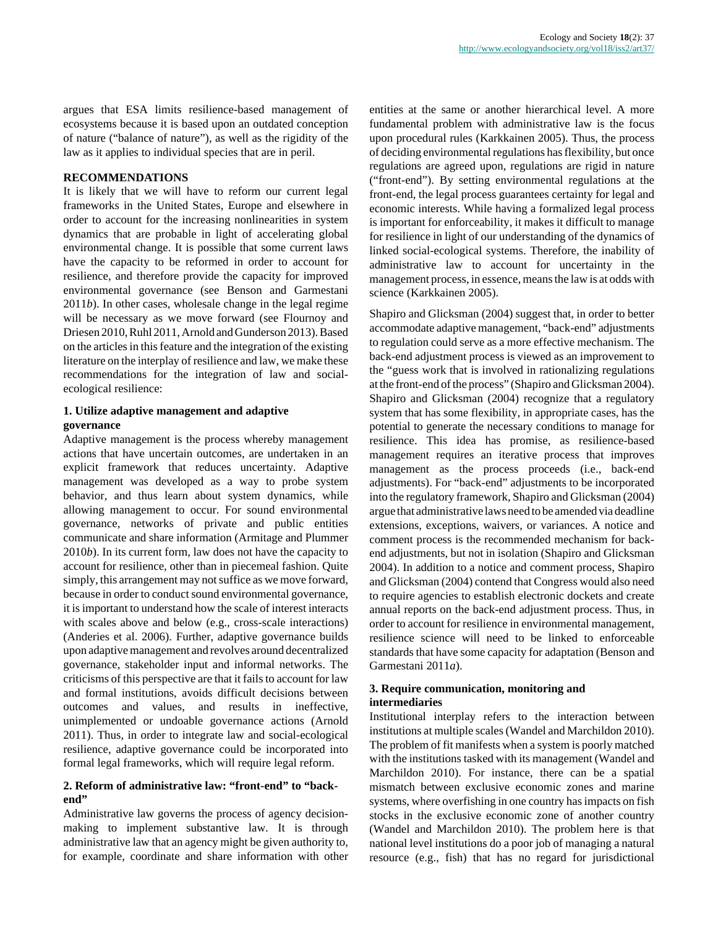argues that ESA limits resilience-based management of ecosystems because it is based upon an outdated conception of nature ("balance of nature"), as well as the rigidity of the law as it applies to individual species that are in peril.

#### **RECOMMENDATIONS**

It is likely that we will have to reform our current legal frameworks in the United States, Europe and elsewhere in order to account for the increasing nonlinearities in system dynamics that are probable in light of accelerating global environmental change. It is possible that some current laws have the capacity to be reformed in order to account for resilience, and therefore provide the capacity for improved environmental governance (see Benson and Garmestani 2011*b*). In other cases, wholesale change in the legal regime will be necessary as we move forward (see Flournoy and Driesen 2010, Ruhl 2011, Arnold and Gunderson 2013). Based on the articles in this feature and the integration of the existing literature on the interplay of resilience and law, we make these recommendations for the integration of law and socialecological resilience:

## **1. Utilize adaptive management and adaptive governance**

Adaptive management is the process whereby management actions that have uncertain outcomes, are undertaken in an explicit framework that reduces uncertainty. Adaptive management was developed as a way to probe system behavior, and thus learn about system dynamics, while allowing management to occur. For sound environmental governance, networks of private and public entities communicate and share information (Armitage and Plummer 2010*b*). In its current form, law does not have the capacity to account for resilience, other than in piecemeal fashion. Quite simply, this arrangement may not suffice as we move forward, because in order to conduct sound environmental governance, it is important to understand how the scale of interest interacts with scales above and below (e.g., cross-scale interactions) (Anderies et al. 2006). Further, adaptive governance builds upon adaptive management and revolves around decentralized governance, stakeholder input and informal networks. The criticisms of this perspective are that it fails to account for law and formal institutions, avoids difficult decisions between outcomes and values, and results in ineffective, unimplemented or undoable governance actions (Arnold 2011). Thus, in order to integrate law and social-ecological resilience, adaptive governance could be incorporated into formal legal frameworks, which will require legal reform.

## **2. Reform of administrative law: "front-end" to "backend"**

Administrative law governs the process of agency decisionmaking to implement substantive law. It is through administrative law that an agency might be given authority to, for example, coordinate and share information with other entities at the same or another hierarchical level. A more fundamental problem with administrative law is the focus upon procedural rules (Karkkainen 2005). Thus, the process of deciding environmental regulations has flexibility, but once regulations are agreed upon, regulations are rigid in nature ("front-end"). By setting environmental regulations at the front-end, the legal process guarantees certainty for legal and economic interests. While having a formalized legal process is important for enforceability, it makes it difficult to manage for resilience in light of our understanding of the dynamics of linked social-ecological systems. Therefore, the inability of administrative law to account for uncertainty in the management process, in essence, means the law is at odds with science (Karkkainen 2005).

Shapiro and Glicksman (2004) suggest that, in order to better accommodate adaptive management, "back-end" adjustments to regulation could serve as a more effective mechanism. The back-end adjustment process is viewed as an improvement to the "guess work that is involved in rationalizing regulations at the front-end of the process" (Shapiro and Glicksman 2004). Shapiro and Glicksman (2004) recognize that a regulatory system that has some flexibility, in appropriate cases, has the potential to generate the necessary conditions to manage for resilience. This idea has promise, as resilience-based management requires an iterative process that improves management as the process proceeds (i.e., back-end adjustments). For "back-end" adjustments to be incorporated into the regulatory framework, Shapiro and Glicksman (2004) argue that administrative laws need to be amended via deadline extensions, exceptions, waivers, or variances. A notice and comment process is the recommended mechanism for backend adjustments, but not in isolation (Shapiro and Glicksman 2004). In addition to a notice and comment process, Shapiro and Glicksman (2004) contend that Congress would also need to require agencies to establish electronic dockets and create annual reports on the back-end adjustment process. Thus, in order to account for resilience in environmental management, resilience science will need to be linked to enforceable standards that have some capacity for adaptation (Benson and Garmestani 2011*a*).

## **3. Require communication, monitoring and intermediaries**

Institutional interplay refers to the interaction between institutions at multiple scales (Wandel and Marchildon 2010). The problem of fit manifests when a system is poorly matched with the institutions tasked with its management (Wandel and Marchildon 2010). For instance, there can be a spatial mismatch between exclusive economic zones and marine systems, where overfishing in one country has impacts on fish stocks in the exclusive economic zone of another country (Wandel and Marchildon 2010). The problem here is that national level institutions do a poor job of managing a natural resource (e.g., fish) that has no regard for jurisdictional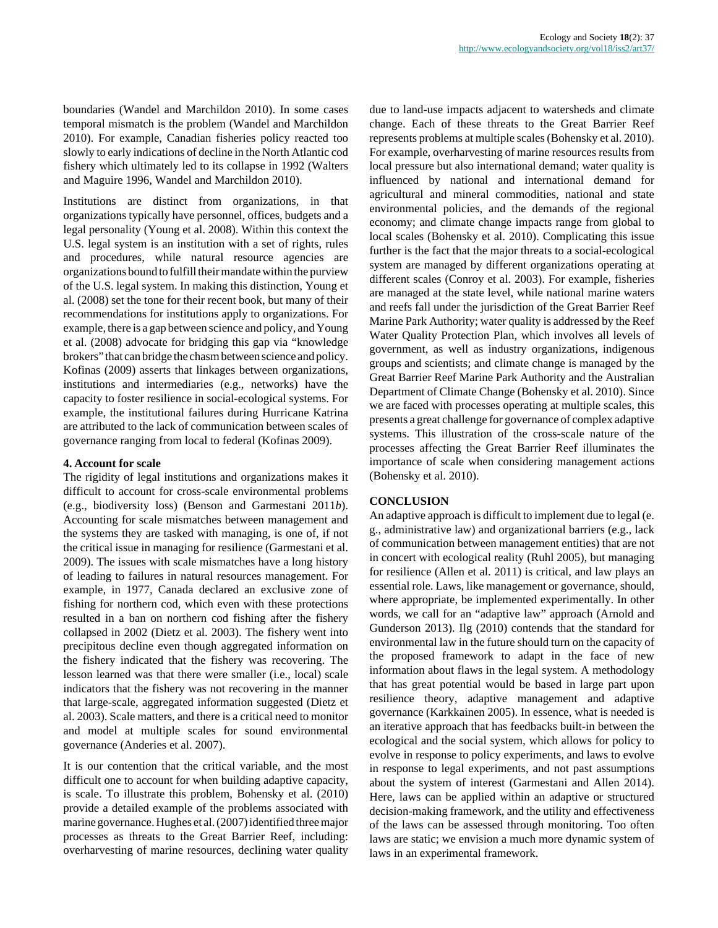boundaries (Wandel and Marchildon 2010). In some cases temporal mismatch is the problem (Wandel and Marchildon 2010). For example, Canadian fisheries policy reacted too slowly to early indications of decline in the North Atlantic cod fishery which ultimately led to its collapse in 1992 (Walters and Maguire 1996, Wandel and Marchildon 2010).

Institutions are distinct from organizations, in that organizations typically have personnel, offices, budgets and a legal personality (Young et al. 2008). Within this context the U.S. legal system is an institution with a set of rights, rules and procedures, while natural resource agencies are organizations bound to fulfill their mandate within the purview of the U.S. legal system. In making this distinction, Young et al. (2008) set the tone for their recent book, but many of their recommendations for institutions apply to organizations. For example, there is a gap between science and policy, and Young et al. (2008) advocate for bridging this gap via "knowledge brokers" that can bridge the chasm between science and policy. Kofinas (2009) asserts that linkages between organizations, institutions and intermediaries (e.g., networks) have the capacity to foster resilience in social-ecological systems. For example, the institutional failures during Hurricane Katrina are attributed to the lack of communication between scales of governance ranging from local to federal (Kofinas 2009).

#### **4. Account for scale**

The rigidity of legal institutions and organizations makes it difficult to account for cross-scale environmental problems (e.g., biodiversity loss) (Benson and Garmestani 2011*b*). Accounting for scale mismatches between management and the systems they are tasked with managing, is one of, if not the critical issue in managing for resilience (Garmestani et al. 2009). The issues with scale mismatches have a long history of leading to failures in natural resources management. For example, in 1977, Canada declared an exclusive zone of fishing for northern cod, which even with these protections resulted in a ban on northern cod fishing after the fishery collapsed in 2002 (Dietz et al. 2003). The fishery went into precipitous decline even though aggregated information on the fishery indicated that the fishery was recovering. The lesson learned was that there were smaller (i.e., local) scale indicators that the fishery was not recovering in the manner that large-scale, aggregated information suggested (Dietz et al. 2003). Scale matters, and there is a critical need to monitor and model at multiple scales for sound environmental governance (Anderies et al. 2007).

It is our contention that the critical variable, and the most difficult one to account for when building adaptive capacity, is scale. To illustrate this problem, Bohensky et al. (2010) provide a detailed example of the problems associated with marine governance. Hughes et al. (2007) identified three major processes as threats to the Great Barrier Reef, including: overharvesting of marine resources, declining water quality due to land-use impacts adjacent to watersheds and climate change. Each of these threats to the Great Barrier Reef represents problems at multiple scales (Bohensky et al. 2010). For example, overharvesting of marine resources results from local pressure but also international demand; water quality is influenced by national and international demand for agricultural and mineral commodities, national and state environmental policies, and the demands of the regional economy; and climate change impacts range from global to local scales (Bohensky et al. 2010). Complicating this issue further is the fact that the major threats to a social-ecological system are managed by different organizations operating at different scales (Conroy et al. 2003). For example, fisheries are managed at the state level, while national marine waters and reefs fall under the jurisdiction of the Great Barrier Reef Marine Park Authority; water quality is addressed by the Reef Water Quality Protection Plan, which involves all levels of government, as well as industry organizations, indigenous groups and scientists; and climate change is managed by the Great Barrier Reef Marine Park Authority and the Australian Department of Climate Change (Bohensky et al. 2010). Since we are faced with processes operating at multiple scales, this presents a great challenge for governance of complex adaptive systems. This illustration of the cross-scale nature of the processes affecting the Great Barrier Reef illuminates the importance of scale when considering management actions (Bohensky et al. 2010).

# **CONCLUSION**

An adaptive approach is difficult to implement due to legal (e. g., administrative law) and organizational barriers (e.g., lack of communication between management entities) that are not in concert with ecological reality (Ruhl 2005), but managing for resilience (Allen et al. 2011) is critical, and law plays an essential role. Laws, like management or governance, should, where appropriate, be implemented experimentally. In other words, we call for an "adaptive law" approach (Arnold and Gunderson 2013). Ilg (2010) contends that the standard for environmental law in the future should turn on the capacity of the proposed framework to adapt in the face of new information about flaws in the legal system. A methodology that has great potential would be based in large part upon resilience theory, adaptive management and adaptive governance (Karkkainen 2005). In essence, what is needed is an iterative approach that has feedbacks built-in between the ecological and the social system, which allows for policy to evolve in response to policy experiments, and laws to evolve in response to legal experiments, and not past assumptions about the system of interest (Garmestani and Allen 2014). Here, laws can be applied within an adaptive or structured decision-making framework, and the utility and effectiveness of the laws can be assessed through monitoring. Too often laws are static; we envision a much more dynamic system of laws in an experimental framework.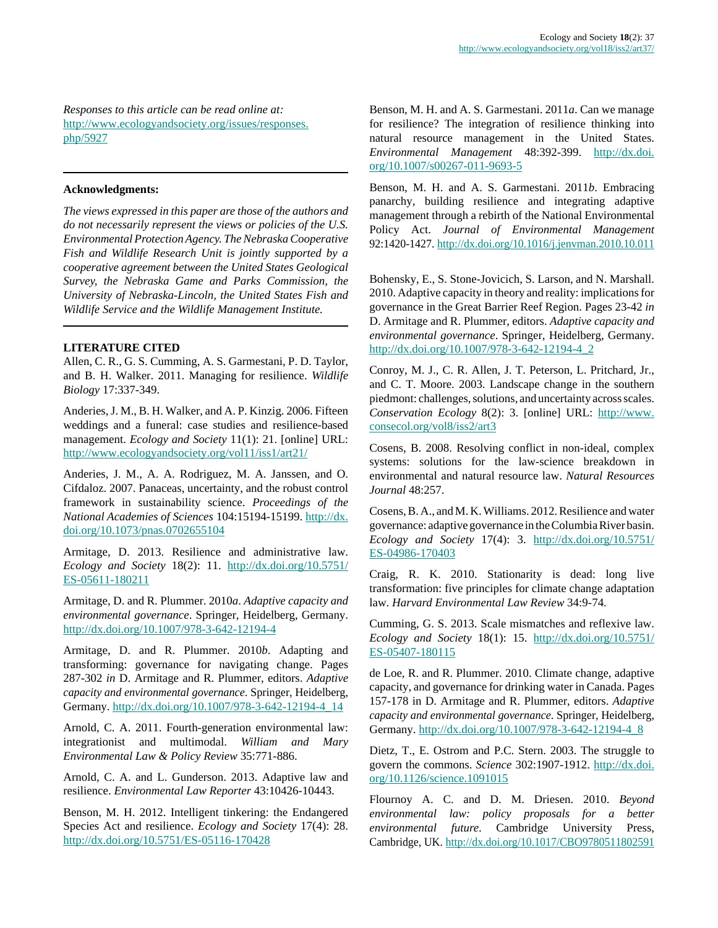*Responses to this article can be read online at:* [http://www.ecologyandsociety.org/issues/responses.](http://www.ecologyandsociety.org/issues/responses.php/5927) [php/5927](http://www.ecologyandsociety.org/issues/responses.php/5927)

#### **Acknowledgments:**

*The views expressed in this paper are those of the authors and do not necessarily represent the views or policies of the U.S. Environmental Protection Agency. The Nebraska Cooperative Fish and Wildlife Research Unit is jointly supported by a cooperative agreement between the United States Geological Survey, the Nebraska Game and Parks Commission, the University of Nebraska-Lincoln, the United States Fish and Wildlife Service and the Wildlife Management Institute.*

#### **LITERATURE CITED**

Allen, C. R., G. S. Cumming, A. S. Garmestani, P. D. Taylor, and B. H. Walker. 2011. Managing for resilience. *Wildlife Biology* 17:337-349.

Anderies, J. M., B. H. Walker, and A. P. Kinzig. 2006. Fifteen weddings and a funeral: case studies and resilience-based management. *Ecology and Society* 11(1): 21. [online] URL: <http://www.ecologyandsociety.org/vol11/iss1/art21/>

Anderies, J. M., A. A. Rodriguez, M. A. Janssen, and O. Cifdaloz. 2007. Panaceas, uncertainty, and the robust control framework in sustainability science. *Proceedings of the National Academies of Sciences* 104:15194-15199. [http://dx.](http://dx.doi.org/10.1073/pnas.0702655104) [doi.org/10.1073/pnas.0702655104](http://dx.doi.org/10.1073/pnas.0702655104)

Armitage, D. 2013. Resilience and administrative law. *Ecology and Society* 18(2): 11. [http://dx.doi.org/10.5751/](http://dx.doi.org/10.5751/ES-05611-180211) [ES-05611-180211](http://dx.doi.org/10.5751/ES-05611-180211)

Armitage, D. and R. Plummer. 2010*a*. *Adaptive capacity and environmental governance*. Springer, Heidelberg, Germany. <http://dx.doi.org/10.1007/978-3-642-12194-4>

Armitage, D. and R. Plummer. 2010*b*. Adapting and transforming: governance for navigating change. Pages 287-302 *in* D. Armitage and R. Plummer, editors. *Adaptive capacity and environmental governance*. Springer, Heidelberg, Germany. [http://dx.doi.org/10.1007/978-3-642-12194-4\\_14](http://dx.doi.org/10.1007/978-3-642-12194-4_14)

Arnold, C. A. 2011. Fourth-generation environmental law: integrationist and multimodal. *William and Mary Environmental Law & Policy Review* 35:771-886.

Arnold, C. A. and L. Gunderson. 2013. Adaptive law and resilience. *Environmental Law Reporter* 43:10426-10443.

Benson, M. H. 2012. Intelligent tinkering: the Endangered Species Act and resilience. *Ecology and Society* 17(4): 28. <http://dx.doi.org/10.5751/ES-05116-170428>

Benson, M. H. and A. S. Garmestani. 2011*a*. Can we manage for resilience? The integration of resilience thinking into natural resource management in the United States. *Environmental Management* 48:392-399. [http://dx.doi.](http://dx.doi.org/10.1007/s00267-011-9693-5) [org/10.1007/s00267-011-9693-5](http://dx.doi.org/10.1007/s00267-011-9693-5)

Benson, M. H. and A. S. Garmestani. 2011*b*. Embracing panarchy, building resilience and integrating adaptive management through a rebirth of the National Environmental Policy Act. *Journal of Environmental Management* 92:1420-1427. <http://dx.doi.org/10.1016/j.jenvman.2010.10.011>

Bohensky, E., S. Stone-Jovicich, S. Larson, and N. Marshall. 2010. Adaptive capacity in theory and reality: implications for governance in the Great Barrier Reef Region. Pages 23-42 *in* D. Armitage and R. Plummer, editors. *Adaptive capacity and environmental governance*. Springer, Heidelberg, Germany. [http://dx.doi.org/10.1007/978-3-642-12194-4\\_2](http://dx.doi.org/10.1007/978-3-642-12194-4_2)

Conroy, M. J., C. R. Allen, J. T. Peterson, L. Pritchard, Jr., and C. T. Moore. 2003. Landscape change in the southern piedmont: challenges, solutions, and uncertainty across scales. *Conservation Ecology* 8(2): 3. [online] URL: [http://www.](http://www.consecol.org/vol8/iss2/art3) [consecol.org/vol8/iss2/art3](http://www.consecol.org/vol8/iss2/art3)

Cosens, B. 2008. Resolving conflict in non-ideal, complex systems: solutions for the law-science breakdown in environmental and natural resource law. *Natural Resources Journal* 48:257.

Cosens, B. A., and M. K. Williams. 2012. Resilience and water governance: adaptive governance in the Columbia River basin. *Ecology and Society* 17(4): 3. [http://dx.doi.org/10.5751/](http://dx.doi.org/10.5751/ES-04986-170403) [ES-04986-170403](http://dx.doi.org/10.5751/ES-04986-170403)

Craig, R. K. 2010. Stationarity is dead: long live transformation: five principles for climate change adaptation law. *Harvard Environmental Law Review* 34:9-74.

Cumming, G. S. 2013. Scale mismatches and reflexive law. *Ecology and Society* 18(1): 15. [http://dx.doi.org/10.5751/](http://dx.doi.org/10.5751/ES-05407-180115) [ES-05407-180115](http://dx.doi.org/10.5751/ES-05407-180115)

de Loe, R. and R. Plummer. 2010. Climate change, adaptive capacity, and governance for drinking water in Canada. Pages 157-178 in D. Armitage and R. Plummer, editors. *Adaptive capacity and environmental governance*. Springer, Heidelberg, Germany. [http://dx.doi.org/10.1007/978-3-642-12194-4\\_8](http://dx.doi.org/10.1007/978-3-642-12194-4_8)

Dietz, T., E. Ostrom and P.C. Stern. 2003. The struggle to govern the commons. *Science* 302:1907-1912. [http://dx.doi.](http://dx.doi.org/10.1126/science.1091015) [org/10.1126/science.1091015](http://dx.doi.org/10.1126/science.1091015)

Flournoy A. C. and D. M. Driesen. 2010. *Beyond environmental law: policy proposals for a better environmental future*. Cambridge University Press, Cambridge, UK. <http://dx.doi.org/10.1017/CBO9780511802591>